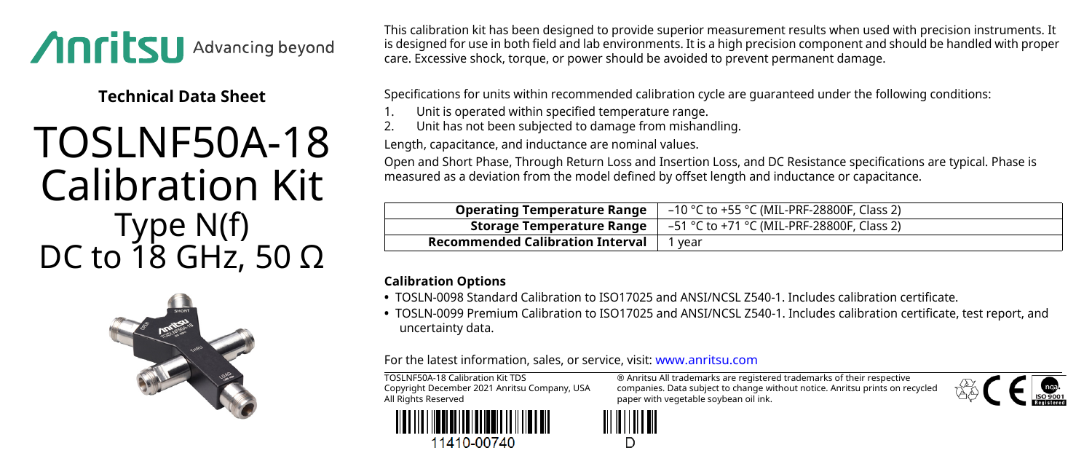

**Technical Data Sheet**

## TOSLNF50A-18 Calibration Kit Type N(f) DC to 18 GHz, 50  $\Omega$



This calibration kit has been designed to provide superior measurement results when used with precision instruments. It is designed for use in both field and lab environments. It is a high precision component and should be handled with proper care. Excessive shock, torque, or power should be avoided to prevent permanent damage.

Specifications for units within recommended calibration cycle are guaranteed under the following conditions:

- 1. Unit is operated within specified temperature range.<br>2. Unit has not been subjected to damage from mishan
- 2. Unit has not been subjected to damage from mishandling.

Length, capacitance, and inductance are nominal values.

Open and Short Phase, Through Return Loss and Insertion Loss, and DC Resistance specifications are typical. Phase is measured as a deviation from the model defined by offset length and inductance or capacitance.

| <b>Operating Temperature Range</b>      | –10 °C to +55 °C (MIL-PRF-28800F, Class 2) |
|-----------------------------------------|--------------------------------------------|
| Storage Temperature Range               | –51 °C to +71 °C (MIL-PRF-28800F, Class 2) |
| <b>Recommended Calibration Interval</b> | vear                                       |

## **Calibration Options**

- **•** TOSLN-0098 Standard Calibration to ISO17025 and ANSI/NCSL Z540-1. Includes calibration certificate.
- **•** TOSLN-0099 Premium Calibration to ISO17025 and ANSI/NCSL Z540-1. Includes calibration certificate, test report, and uncertainty data.

For the latest information, sales, or service, visit: [www.anritsu.com](http://www.anritsu.com)

TOSLNF50A-18 Calibration Kit TDS Copyright December 2021 Anritsu Company, USA All Rights Reserved



11410-00740

® Anritsu All trademarks are registered trademarks of their respective companies. Data subject to change without notice. Anritsu prints on recycled paper with vegetable soybean oil ink.